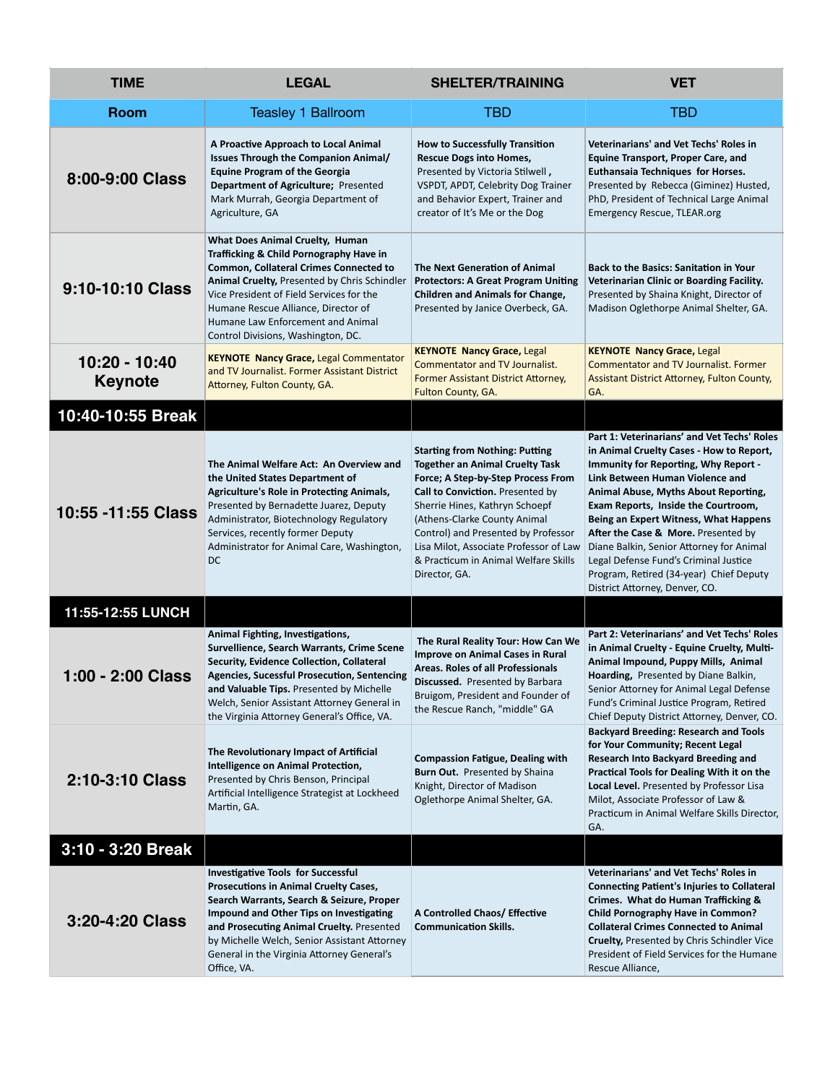| <b>TIME</b>                     | <b>LEGAL</b>                                                                                                                                                                                                                                                                                                                                     | <b>SHELTER/TRAINING</b>                                                                                                                                                                                                                                                                                                                                               | <b>VET</b>                                                                                                                                                                                                                                                                                                                                                                                                                                                                                                     |
|---------------------------------|--------------------------------------------------------------------------------------------------------------------------------------------------------------------------------------------------------------------------------------------------------------------------------------------------------------------------------------------------|-----------------------------------------------------------------------------------------------------------------------------------------------------------------------------------------------------------------------------------------------------------------------------------------------------------------------------------------------------------------------|----------------------------------------------------------------------------------------------------------------------------------------------------------------------------------------------------------------------------------------------------------------------------------------------------------------------------------------------------------------------------------------------------------------------------------------------------------------------------------------------------------------|
| <b>Room</b>                     | <b>Teasley 1 Ballroom</b>                                                                                                                                                                                                                                                                                                                        | TBD                                                                                                                                                                                                                                                                                                                                                                   | <b>TBD</b>                                                                                                                                                                                                                                                                                                                                                                                                                                                                                                     |
| 8:00-9:00 Class                 | A Proactive Approach to Local Animal<br><b>Issues Through the Companion Animal/</b><br><b>Equine Program of the Georgia</b><br>Department of Agriculture; Presented<br>Mark Murrah, Georgia Department of<br>Agriculture, GA                                                                                                                     | <b>How to Successfully Transition</b><br><b>Rescue Dogs into Homes,</b><br>Presented by Victoria Stilwell,<br>VSPDT, APDT, Celebrity Dog Trainer<br>and Behavior Expert, Trainer and<br>creator of It's Me or the Dog                                                                                                                                                 | Veterinarians' and Vet Techs' Roles in<br><b>Equine Transport, Proper Care, and</b><br>Euthansaia Techniques for Horses.<br>Presented by Rebecca (Giminez) Husted,<br>PhD, President of Technical Large Animal<br><b>Emergency Rescue, TLEAR.org</b>                                                                                                                                                                                                                                                           |
| 9:10-10:10 Class                | What Does Animal Cruelty, Human<br>Trafficking & Child Pornography Have in<br><b>Common, Collateral Crimes Connected to</b><br><b>Animal Cruelty, Presented by Chris Schindler</b><br>Vice President of Field Services for the<br>Humane Rescue Alliance, Director of<br>Humane Law Enforcement and Animal<br>Control Divisions, Washington, DC. | <b>The Next Generation of Animal</b><br><b>Protectors: A Great Program Uniting</b><br><b>Children and Animals for Change,</b><br>Presented by Janice Overbeck, GA.                                                                                                                                                                                                    | <b>Back to the Basics: Sanitation in Your</b><br>Veterinarian Clinic or Boarding Facility.<br>Presented by Shaina Knight, Director of<br>Madison Oglethorpe Animal Shelter, GA.                                                                                                                                                                                                                                                                                                                                |
| 10:20 - 10:40<br><b>Keynote</b> | <b>KEYNOTE Nancy Grace, Legal Commentator</b><br>and TV Journalist. Former Assistant District<br>Attorney, Fulton County, GA.                                                                                                                                                                                                                    | <b>KEYNOTE Nancy Grace, Legal</b><br><b>Commentator and TV Journalist.</b><br>Former Assistant District Attorney,<br>Fulton County, GA.                                                                                                                                                                                                                               | <b>KEYNOTE Nancy Grace, Legal</b><br><b>Commentator and TV Journalist. Former</b><br>Assistant District Attorney, Fulton County,<br>GA.                                                                                                                                                                                                                                                                                                                                                                        |
| 10:40-10:55 Break               |                                                                                                                                                                                                                                                                                                                                                  |                                                                                                                                                                                                                                                                                                                                                                       |                                                                                                                                                                                                                                                                                                                                                                                                                                                                                                                |
| 10:55 - 11:55 Class             | The Animal Welfare Act: An Overview and<br>the United States Department of<br><b>Agriculture's Role in Protecting Animals,</b><br>Presented by Bernadette Juarez, Deputy<br>Administrator, Biotechnology Regulatory<br>Services, recently former Deputy<br>Administrator for Animal Care, Washington,<br>DC                                      | <b>Starting from Nothing: Putting</b><br><b>Together an Animal Cruelty Task</b><br>Force; A Step-by-Step Process From<br>Call to Conviction. Presented by<br>Sherrie Hines, Kathryn Schoepf<br>(Athens-Clarke County Animal<br>Control) and Presented by Professor<br>Lisa Milot, Associate Professor of Law<br>& Practicum in Animal Welfare Skills<br>Director, GA. | Part 1: Veterinarians' and Vet Techs' Roles<br>in Animal Cruelty Cases - How to Report,<br>Immunity for Reporting, Why Report -<br>Link Between Human Violence and<br>Animal Abuse, Myths About Reporting,<br>Exam Reports, Inside the Courtroom,<br>Being an Expert Witness, What Happens<br><b>After the Case &amp; More.</b> Presented by<br>Diane Balkin, Senior Attorney for Animal<br>Legal Defense Fund's Criminal Justice<br>Program, Retired (34-year) Chief Deputy<br>District Attorney, Denver, CO. |
| 11:55-12:55 LUNCH               |                                                                                                                                                                                                                                                                                                                                                  |                                                                                                                                                                                                                                                                                                                                                                       |                                                                                                                                                                                                                                                                                                                                                                                                                                                                                                                |
| 1:00 - 2:00 Class               | Animal Fighting, Investigations,<br>Survellience, Search Warrants, Crime Scene<br>Security, Evidence Collection, Collateral<br><b>Agencies, Sucessful Prosecution, Sentencing</b><br>and Valuable Tips. Presented by Michelle<br>Welch, Senior Assistant Attorney General in<br>the Virginia Attorney General's Office, VA.                      | The Rural Reality Tour: How Can We<br><b>Improve on Animal Cases in Rural</b><br><b>Areas. Roles of all Professionals</b><br>Discussed. Presented by Barbara<br>Bruigom, President and Founder of<br>the Rescue Ranch, "middle" GA                                                                                                                                    | Part 2: Veterinarians' and Vet Techs' Roles<br>in Animal Cruelty - Equine Cruelty, Multi-<br>Animal Impound, Puppy Mills, Animal<br>Hoarding, Presented by Diane Balkin,<br>Senior Attorney for Animal Legal Defense<br>Fund's Criminal Justice Program, Retired<br>Chief Deputy District Attorney, Denver, CO.                                                                                                                                                                                                |
| 2:10-3:10 Class                 | The Revolutionary Impact of Artificial<br>Intelligence on Animal Protection,<br>Presented by Chris Benson, Principal<br>Artificial Intelligence Strategist at Lockheed<br>Martin, GA.                                                                                                                                                            | <b>Compassion Fatigue, Dealing with</b><br><b>Burn Out.</b> Presented by Shaina<br>Knight, Director of Madison<br>Oglethorpe Animal Shelter, GA.                                                                                                                                                                                                                      | <b>Backyard Breeding: Research and Tools</b><br>for Your Community; Recent Legal<br><b>Research Into Backyard Breeding and</b><br>Practical Tools for Dealing With it on the<br><b>Local Level.</b> Presented by Professor Lisa<br>Milot, Associate Professor of Law &<br>Practicum in Animal Welfare Skills Director,<br>GA.                                                                                                                                                                                  |
| 3:10 - 3:20 Break               |                                                                                                                                                                                                                                                                                                                                                  |                                                                                                                                                                                                                                                                                                                                                                       |                                                                                                                                                                                                                                                                                                                                                                                                                                                                                                                |
| 3:20-4:20 Class                 | <b>Investigative Tools for Successful</b><br><b>Prosecutions in Animal Cruelty Cases,</b><br>Search Warrants, Search & Seizure, Proper<br>Impound and Other Tips on Investigating<br>and Prosecuting Animal Cruelty. Presented<br>by Michelle Welch, Senior Assistant Attorney<br>General in the Virginia Attorney General's<br>Office, VA.      | A Controlled Chaos/ Effective<br><b>Communication Skills.</b>                                                                                                                                                                                                                                                                                                         | Veterinarians' and Vet Techs' Roles in<br><b>Connecting Patient's Injuries to Collateral</b><br>Crimes. What do Human Trafficking &<br><b>Child Pornography Have in Common?</b><br><b>Collateral Crimes Connected to Animal</b><br><b>Cruelty, Presented by Chris Schindler Vice</b><br>President of Field Services for the Humane<br>Rescue Alliance,                                                                                                                                                         |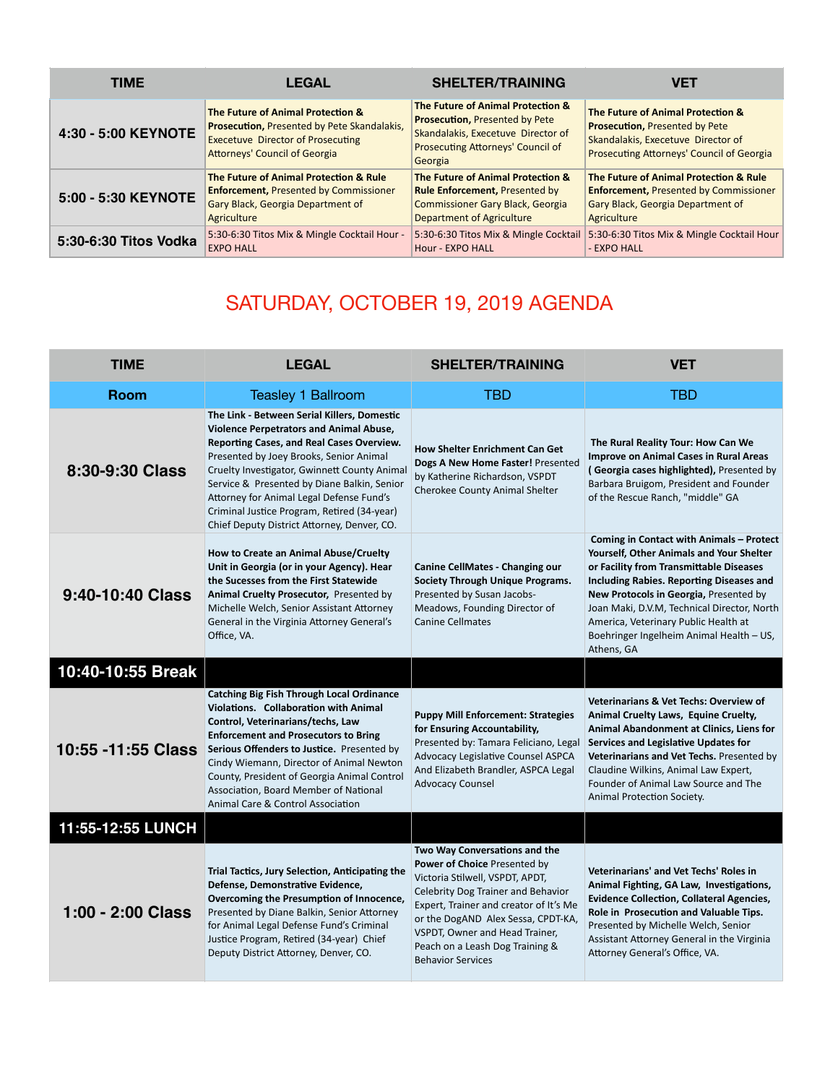| <b>TIME</b>           | <b>LEGAL</b>                                                                                                                                                                | <b>SHELTER/TRAINING</b>                                                                                                                                          | <b>VET</b>                                                                                                                                                    |
|-----------------------|-----------------------------------------------------------------------------------------------------------------------------------------------------------------------------|------------------------------------------------------------------------------------------------------------------------------------------------------------------|---------------------------------------------------------------------------------------------------------------------------------------------------------------|
| 4:30 - 5:00 KEYNOTE   | The Future of Animal Protection &<br><b>Prosecution, Presented by Pete Skandalakis,</b><br><b>Execetuve Director of Prosecuting</b><br><b>Attorneys' Council of Georgia</b> | The Future of Animal Protection &<br><b>Prosecution, Presented by Pete</b><br>Skandalakis, Execetuve Director of<br>Prosecuting Attorneys' Council of<br>Georgia | The Future of Animal Protection &<br><b>Prosecution, Presented by Pete</b><br>Skandalakis, Execetuve Director of<br>Prosecuting Attorneys' Council of Georgia |
| 5:00 - 5:30 KEYNOTE   | The Future of Animal Protection & Rule                                                                                                                                      | The Future of Animal Protection &                                                                                                                                | The Future of Animal Protection & Rule                                                                                                                        |
|                       | <b>Enforcement, Presented by Commissioner</b>                                                                                                                               | <b>Rule Enforcement, Presented by</b>                                                                                                                            | <b>Enforcement, Presented by Commissioner</b>                                                                                                                 |
|                       | Gary Black, Georgia Department of                                                                                                                                           | <b>Commissioner Gary Black, Georgia</b>                                                                                                                          | Gary Black, Georgia Department of                                                                                                                             |
|                       | Agriculture                                                                                                                                                                 | <b>Department of Agriculture</b>                                                                                                                                 | Agriculture                                                                                                                                                   |
| 5:30-6:30 Titos Vodka | 5:30-6:30 Titos Mix & Mingle Cocktail Hour -                                                                                                                                | 5:30-6:30 Titos Mix & Mingle Cocktail                                                                                                                            | 5:30-6:30 Titos Mix & Mingle Cocktail Hour                                                                                                                    |
|                       | <b>EXPO HALL</b>                                                                                                                                                            | Hour - EXPO HALL                                                                                                                                                 | - EXPO HALL                                                                                                                                                   |

## SATURDAY, OCTOBER 19, 2019 AGENDA

| <b>TIME</b>        | <b>LEGAL</b>                                                                                                                                                                                                                                                                                                                                                                                                                   | <b>SHELTER/TRAINING</b>                                                                                                                                                                                                                                                                                                        | VET                                                                                                                                                                                                                                                                                                                                                                           |
|--------------------|--------------------------------------------------------------------------------------------------------------------------------------------------------------------------------------------------------------------------------------------------------------------------------------------------------------------------------------------------------------------------------------------------------------------------------|--------------------------------------------------------------------------------------------------------------------------------------------------------------------------------------------------------------------------------------------------------------------------------------------------------------------------------|-------------------------------------------------------------------------------------------------------------------------------------------------------------------------------------------------------------------------------------------------------------------------------------------------------------------------------------------------------------------------------|
| <b>Room</b>        | Teasley 1 Ballroom                                                                                                                                                                                                                                                                                                                                                                                                             | <b>TBD</b>                                                                                                                                                                                                                                                                                                                     | <b>TBD</b>                                                                                                                                                                                                                                                                                                                                                                    |
| 8:30-9:30 Class    | The Link - Between Serial Killers, Domestic<br><b>Violence Perpetrators and Animal Abuse,</b><br>Reporting Cases, and Real Cases Overview.<br>Presented by Joey Brooks, Senior Animal<br>Cruelty Investigator, Gwinnett County Animal<br>Service & Presented by Diane Balkin, Senior<br>Attorney for Animal Legal Defense Fund's<br>Criminal Justice Program, Retired (34-year)<br>Chief Deputy District Attorney, Denver, CO. | <b>How Shelter Enrichment Can Get</b><br>Dogs A New Home Faster! Presented<br>by Katherine Richardson, VSPDT<br>Cherokee County Animal Shelter                                                                                                                                                                                 | The Rural Reality Tour: How Can We<br><b>Improve on Animal Cases in Rural Areas</b><br>(Georgia cases highlighted), Presented by<br>Barbara Bruigom, President and Founder<br>of the Rescue Ranch, "middle" GA                                                                                                                                                                |
| 9:40-10:40 Class   | How to Create an Animal Abuse/Cruelty<br>Unit in Georgia (or in your Agency). Hear<br>the Sucesses from the First Statewide<br>Animal Cruelty Prosecutor, Presented by<br>Michelle Welch, Senior Assistant Attorney<br>General in the Virginia Attorney General's<br>Office, VA.                                                                                                                                               | <b>Canine CellMates - Changing our</b><br>Society Through Unique Programs.<br>Presented by Susan Jacobs-<br>Meadows, Founding Director of<br><b>Canine Cellmates</b>                                                                                                                                                           | <b>Coming in Contact with Animals - Protect</b><br>Yourself, Other Animals and Your Shelter<br>or Facility from Transmittable Diseases<br>Including Rabies. Reporting Diseases and<br>New Protocols in Georgia, Presented by<br>Joan Maki, D.V.M, Technical Director, North<br>America, Veterinary Public Health at<br>Boehringer Ingelheim Animal Health - US,<br>Athens, GA |
| 10:40-10:55 Break  |                                                                                                                                                                                                                                                                                                                                                                                                                                |                                                                                                                                                                                                                                                                                                                                |                                                                                                                                                                                                                                                                                                                                                                               |
| 10:55 -11:55 Class | Catching Big Fish Through Local Ordinance<br>Violations. Collaboration with Animal<br>Control, Veterinarians/techs, Law<br><b>Enforcement and Prosecutors to Bring</b><br>Serious Offenders to Justice. Presented by<br>Cindy Wiemann, Director of Animal Newton<br>County, President of Georgia Animal Control<br>Association, Board Member of National<br>Animal Care & Control Association                                  | <b>Puppy Mill Enforcement: Strategies</b><br>for Ensuring Accountability,<br>Presented by: Tamara Feliciano, Legal<br>Advocacy Legislative Counsel ASPCA<br>And Elizabeth Brandler, ASPCA Legal<br><b>Advocacy Counsel</b>                                                                                                     | <b>Veterinarians &amp; Vet Techs: Overview of</b><br>Animal Cruelty Laws, Equine Cruelty,<br>Animal Abandonment at Clinics, Liens for<br>Services and Legislative Updates for<br>Veterinarians and Vet Techs. Presented by<br>Claudine Wilkins, Animal Law Expert,<br>Founder of Animal Law Source and The<br>Animal Protection Society.                                      |
| 11:55-12:55 LUNCH  |                                                                                                                                                                                                                                                                                                                                                                                                                                |                                                                                                                                                                                                                                                                                                                                |                                                                                                                                                                                                                                                                                                                                                                               |
| 1:00 - 2:00 Class  | Trial Tactics, Jury Selection, Anticipating the<br>Defense, Demonstrative Evidence,<br>Overcoming the Presumption of Innocence,<br>Presented by Diane Balkin, Senior Attorney<br>for Animal Legal Defense Fund's Criminal<br>Justice Program, Retired (34-year) Chief<br>Deputy District Attorney, Denver, CO.                                                                                                                 | Two Way Conversations and the<br><b>Power of Choice Presented by</b><br>Victoria Stilwell, VSPDT, APDT,<br>Celebrity Dog Trainer and Behavior<br>Expert, Trainer and creator of It's Me<br>or the DogAND Alex Sessa, CPDT-KA,<br>VSPDT, Owner and Head Trainer,<br>Peach on a Leash Dog Training &<br><b>Behavior Services</b> | Veterinarians' and Vet Techs' Roles in<br>Animal Fighting, GA Law, Investigations,<br><b>Evidence Collection, Collateral Agencies,</b><br>Role in Prosecution and Valuable Tips.<br>Presented by Michelle Welch, Senior<br>Assistant Attorney General in the Virginia<br>Attorney General's Office, VA.                                                                       |